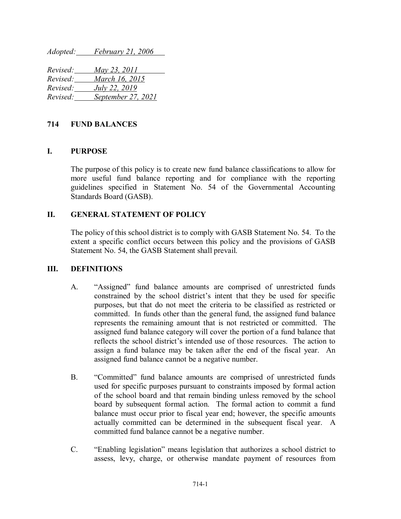*Adopted: February 21, 2006*

| Revised: | May 23, 2011       |
|----------|--------------------|
| Revised: | March 16, 2015     |
| Revised: | July 22, 2019      |
| Revised: | September 27, 2021 |

# **714 FUND BALANCES**

# **I. PURPOSE**

The purpose of this policy is to create new fund balance classifications to allow for more useful fund balance reporting and for compliance with the reporting guidelines specified in Statement No. 54 of the Governmental Accounting Standards Board (GASB).

# **II. GENERAL STATEMENT OF POLICY**

The policy of this school district is to comply with GASB Statement No. 54. To the extent a specific conflict occurs between this policy and the provisions of GASB Statement No. 54, the GASB Statement shall prevail.

#### **III. DEFINITIONS**

- A. "Assigned" fund balance amounts are comprised of unrestricted funds constrained by the school district's intent that they be used for specific purposes, but that do not meet the criteria to be classified as restricted or committed. In funds other than the general fund, the assigned fund balance represents the remaining amount that is not restricted or committed. The assigned fund balance category will cover the portion of a fund balance that reflects the school district's intended use of those resources. The action to assign a fund balance may be taken after the end of the fiscal year. An assigned fund balance cannot be a negative number.
- B. "Committed" fund balance amounts are comprised of unrestricted funds used for specific purposes pursuant to constraints imposed by formal action of the school board and that remain binding unless removed by the school board by subsequent formal action. The formal action to commit a fund balance must occur prior to fiscal year end; however, the specific amounts actually committed can be determined in the subsequent fiscal year. A committed fund balance cannot be a negative number.
- C. "Enabling legislation" means legislation that authorizes a school district to assess, levy, charge, or otherwise mandate payment of resources from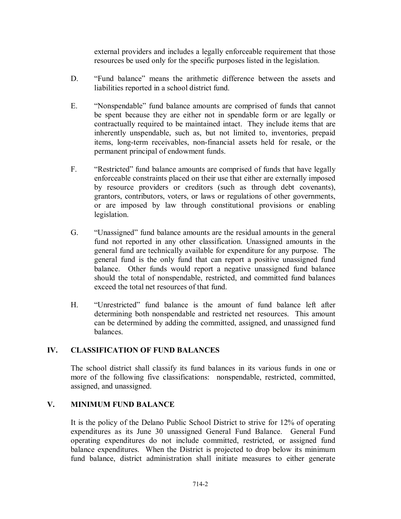external providers and includes a legally enforceable requirement that those resources be used only for the specific purposes listed in the legislation.

- D. "Fund balance" means the arithmetic difference between the assets and liabilities reported in a school district fund.
- E. "Nonspendable" fund balance amounts are comprised of funds that cannot be spent because they are either not in spendable form or are legally or contractually required to be maintained intact. They include items that are inherently unspendable, such as, but not limited to, inventories, prepaid items, long-term receivables, non-financial assets held for resale, or the permanent principal of endowment funds.
- F. "Restricted" fund balance amounts are comprised of funds that have legally enforceable constraints placed on their use that either are externally imposed by resource providers or creditors (such as through debt covenants), grantors, contributors, voters, or laws or regulations of other governments, or are imposed by law through constitutional provisions or enabling legislation.
- G. "Unassigned" fund balance amounts are the residual amounts in the general fund not reported in any other classification. Unassigned amounts in the general fund are technically available for expenditure for any purpose. The general fund is the only fund that can report a positive unassigned fund balance. Other funds would report a negative unassigned fund balance should the total of nonspendable, restricted, and committed fund balances exceed the total net resources of that fund.
- H. "Unrestricted" fund balance is the amount of fund balance left after determining both nonspendable and restricted net resources. This amount can be determined by adding the committed, assigned, and unassigned fund balances.

# **IV. CLASSIFICATION OF FUND BALANCES**

The school district shall classify its fund balances in its various funds in one or more of the following five classifications: nonspendable, restricted, committed, assigned, and unassigned.

# **V. MINIMUM FUND BALANCE**

It is the policy of the Delano Public School District to strive for 12% of operating expenditures as its June 30 unassigned General Fund Balance. General Fund operating expenditures do not include committed, restricted, or assigned fund balance expenditures. When the District is projected to drop below its minimum fund balance, district administration shall initiate measures to either generate